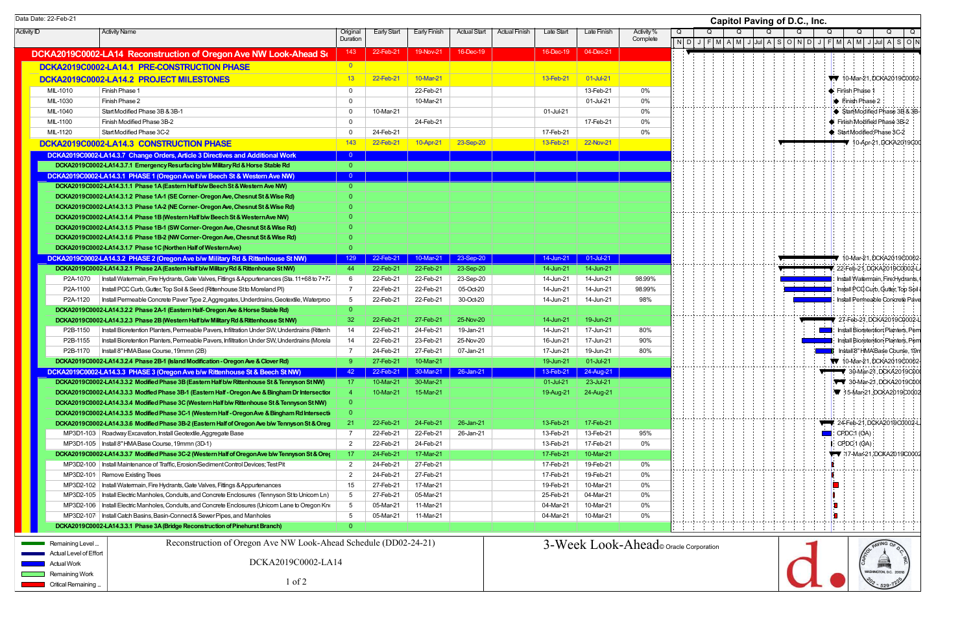Activity ID | Activity Name | Original **Duration** Early Start | Early Finish | Actual Start | Actual Finish | Late Start | Late Finish | Activity % **Complete** DCKA2019C0002-LA14 Reconstruction of Oregon Ave NW Look-Ahead Sc  $\vert$  143  $\vert$  22-Feb-21 19-Nov-21 16-Dec-19  $\vert$  16-Dec-19  $\vert$  16-Dec-19  $\vert$  04-Dec-21 DCKA2019C0002-LA14.1 PRE-CONSTRUCTION PHASE **DEVICES** 1 0 **DCKA2019C0002-LA14.2 PROJECT MILESTONES** 13 22-Feb-21 10-Mar-21 10-Mar-21 10-Mar-21 13-Feb-21 01-Jul-21 MIL-1010 Finish Phase 1 22-Feb-21 0% MIL-1030 Finish Phase 2 10-Mar-21 01-Jul-21 0% MIL-1040 Start Modified Phase 3B & 3B-1 0 10-Mar-21 0 10-Mar-21 0 10-Mar-21 01-Jul-21 0% MIL-1100 Finish Modified Phase 3B-2 0 24-Feb-21 17-Feb-21 0% MIL-1120 | Start Modified Phase 3C-2 24-Feb-21 17-Feb-21 0% DCKA2019C0002-LA14.3 CONSTRUCTION PHASE 143 143 22-Feb-21 10-Apr-21 23-Sep-20 13-Feb-21 23-Sep-20 13-Feb-21 22-Nov-21 DCKA2019C0002-LA14.3.7 Change Orders, Article 3 Directives and Additional Work 0 DCKA2019C0002-LA14.3.7.1 Emergency Resurfacing b/w Military Rd & Horse Stable Rd 0 DCKA2019C0002-LA14.3.1 PHASE 1 (Oregon Ave b/w Beech St & Western Ave NW) 0 DCKA2019C0002-LA14.3.1.1 Phase 1A (Eastern Half b/w Beech St & Western Ave NW) 0 DCKA2019C0002-LA14.3.1.2 Phase 1A-1 (SE Corner- Oregon Ave, Chesnut St & Wise Rd) DCKA2019C0002-LA14.3.1.3 Phase 1A-2 (NE Corner- Oregon Ave, Chesnut St & Wise Rd) DCKA2019C0002-LA14.3.1.4 Phase 1B (Western Half b/w Beech St & Western Ave NW) DCKA2019C0002-LA14.3.1.5 Phase 1B-1 (SW Corner- Oregon Ave, Chesnut St & Wise Rd) DCKA2019C0002-LA14.3.1.6 Phase 1B-2 (NW Corner- Oregon Ave, Chesnut St & Wise Rd) DCKA2019C0002-LA14.3.1.7 Phase 1C (Northen Half of Western Ave) DCKA2019C0002-LA14.3.2 PHASE 2 (Oregon Ave b/w Military Rd & Rittenhouse St NW) 129 22-Feb-21 10-Mar-21 23-Sep-20 14-Jun-21 01-Jul-21 DCKA2019C0002-LA14.3.2.1 Phase 2A (Eastern Half b/w Military Rd & Rittenhouse St NW) 44 22-Feb-21 22-Feb-21 23-Sep-20 14-Jun-21 14-Jun-21 P2A-1070 Install Watermain, Fire Hydrants, Gate Valves, Fittings & Appurtenances (Sta. 11+68 to 7+7; 6 22-Feb-21 23-Feb-21 23-Sep-20 14-Jun-21 14-Jun-21 98.99% P2A-1100 Install PCC Curb, Gutter, Top Soil & Seed (Rittenhouse St to Moreland Pl) 7 22-Feb-21 22-Feb-21 05-Oct-20 14-Jun-21 14-Jun-21 98.99% P2A-1120 Install Permeable Concrete Paver Type 2, Aggregates, Underdrains, Geotextile, Waterproo | 5 | 22-Feb-21 | 22-Feb-21 | 30-Oct-20 | 14-Jun-21 | 14-Jun-21 | 14-Jun-21 | 98% DCKA2019C0002-LA14.3.2.2 Phase 2A-1 (Eastern Half- Oregon Ave & Horse Stable Rd) 0 0 DCKA2019C0002-LA14.3.2.3 Phase 2B (Western Half b/w Military Rd & Rittenhouse St NW) 32 22-Feb-21 27-Feb-21 25-Nov-20 14-Jun-21 19-Jun-21 P2B-1150 Install Bioretention Planters, Permeable Pavers, Infiltration Under SW, Underdrains (Rittenh 14 22-Feb-21 24-Feb-21 19-Jan-21 19-Jan-21 14-Jun-21 17-Jun-21 80% P2B-1155 Install Bioretention Planters, Permeable Pavers, Infiltration Under SW, Underdrains (Moreland Planter Military Particle Pavers, Infiltration Under SW, Underdrains (Moreland Planter Planters, Permeable Pavers, Infi P2B-1170 Install 8" HMA Base Course, 19mmn (2B) 7 24-Feb-21 27-Feb-21 07-Jan-21 17-Jun-21 19-Jun-21 80% DCKA2019C0002-LA14.3.2.4 Phase 2B-1 (Island Modification - Oregon Ave & Clover Rd) 9 27-Feb-21 10-Mar-21 19-Jun-21 19-Jun-21 01-Jul-21 DCKA2019C0002-LA14.3.3 PHASE 3 (Oregon Ave b/w Rittenhouse St & Beech St NW) 42 22-Feb-21 30-Mar-21 26-Jan-21 13-Feb-21 24-Aug-21 DCKA2019C0002-LA14.3.3.2 Modified Phase 3B (Eastern Half b/w Rittenhouse St & Tennyson St NW) 17 10-Mar-21 30-Mar-21 30-Mar-21 01-Jul-21 23-Jul-21 DCKA2019C0002-LA14.3.3.3 Modfied Phase 3B-1 (Eastern Half - Oregon Ave & Bingham Dr Intersection) 4 10-Mar-21 15-Mar-21 19-Aug-21 24-Aug-21 DCKA2019C0002-LA14.3.3.4 Modified Phase 3C (Western Half b/w Rittenhouse St & Tennyson St NW) DCKA2019C0002-LA14.3.3.5 Modified Phase 3C-1 (Western Half - Oregon Ave & Bingham Rd Intersecti DCKA2019C0002-LA14.3.3.6 Modified Phase 3B-2 (Eastern Half of Oregon Ave b/w Tennyson St & Oreg 21 22-Feb-21 24-Feb-21 26-Jan-21 13-Feb-21 13-Feb-21 17-Feb-21 MP3D1-103 Roadway Excavation, Install Geotextile, Aggregate Base 195% 1960 1960 1960 1960 13-Feb-21 22-Feb-21 22-Feb-21 26-Jan-21 13-Feb-21 13-Feb-21 13-Feb-21 95% MP3D1-105 Install 8" HMA Base Course, 19mmn (3D-1) 2 22-Feb-21 24-Feb-21 24-Feb-21 13-Feb-21 17-Feb-21 0% DCKA2019C0002-LA14.3.3.7 Modified Phase 3C-2 (Western Half of Oregon Ave b/w Tennyson St & Oregon 17 24-Feb-21 17-Mar-21 17-Mar-21 17-Feb-21 17-Feb-21 17-Feb-21 17-Feb-21 17-Feb-21 17-Feb-21 10-Mar-21 MP3D2-100 Install Maintenance of Traffic, Erosion/Sediment Control Devices; Test Pit 2 24-Feb-21 27-Feb-21 19-Feb-21 17-Feb-21 19-Feb-21 0% MP3D2-101 Remove Existing Trees 2 24-Feb-21 27-Feb-21 27-Feb-21 27-Feb-21 17-Feb-21 17-Feb-21 19-Feb-21 0% MP3D2-102 Install Watermain, Fire Hydrants, Gate Valves, Fittings & Appurtenances 15 27-Feb-21 17-Mar-21 19-Mar-21 10-Mar-21 10-Mar-21 0% MP3D2-105 Install Electric Manholes, Conduits, and Concrete Enclosures (Tennyson St to Unicorn Ln) 5 27-Feb-21 05-Mar-21 25-Mar-21 25-Feb-21 04-Mar-21 04-Mar-21 04-Mar-21 MP3D2-106 Install Electric Manholes, Conduits, and Concrete Enclosures (Unicorn Lane to Oregon Knolls States 1 05-Mar-21 11-Mar-21 11-Mar-21 10-Mar-21 10-Mar-21 10-Mar-21 0% MP3D2-107 Install Catch Basins, Basin-Connect & Sewer Pipes, and Manholes 6 05-Mar-21 11-Mar-21 11-Mar-21 10-Mar-21 04-Mar-21 10-Mar-21 0% DCKA2019C0002-LA14.3.3.1 Phase 3A (Bridge Reconstruction of Pinehurst Branch) 0 0 Data Date: 22-Feb-21 **Capitol Paving of D.C., Inc.** Remaining Level Actual Level of Effort Actual Work **Remaining Work** Critical Remaining ... Reconstruction of Oregon Ave NW Look-Ahead Schedule (DD02-24-21) DCKA2019C0002-LA14 1 of 2 3-Week Look-Ahead© Oracle Corporation